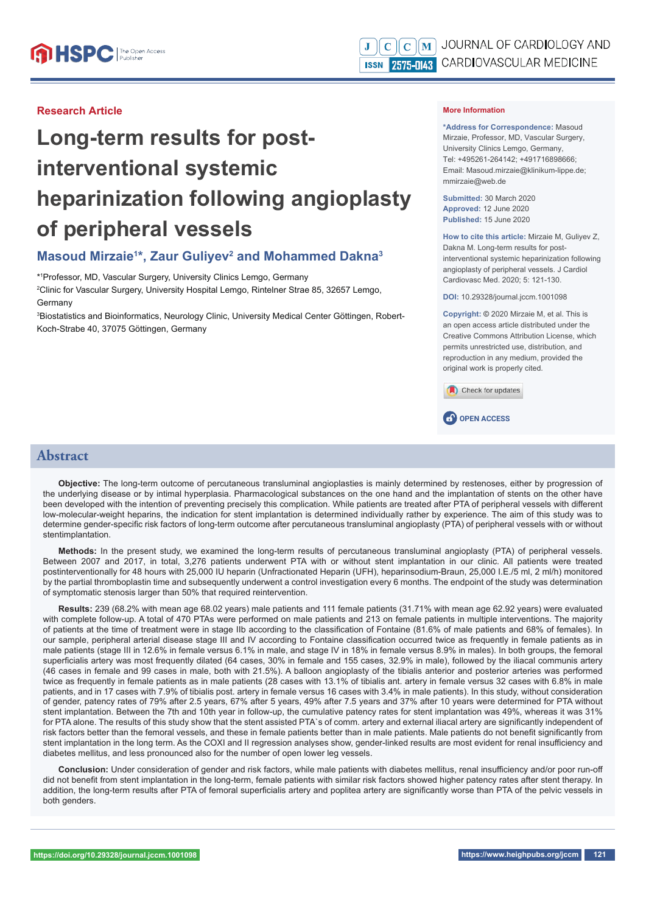## **Research Article**

# **Long-term results for postinterventional systemic heparinization following angioplasty of peripheral vessels**

## **Masoud Mirzaie1 \*, Zaur Guliyev2 and Mohammed Dakna3**

\*1 Professor, MD, Vascular Surgery, University Clinics Lemgo, Germany 2 Clinic for Vascular Surgery, University Hospital Lemgo, Rintelner Strae 85, 32657 Lemgo, Germany

3 Biostatistics and Bioinformatics, Neurology Clinic, University Medical Center Göttingen, Robert-Koch-Strabe 40, 37075 Göttingen, Germany

#### **More Information**

**\*Address for Correspondence:** Masoud Mirzaie, Professor, MD, Vascular Surgery, University Clinics Lemgo, Germany, Tel: +495261-264142; +491716898666; Email: Masoud.mirzaie@klinikum-lippe.de; mmirzaie@web.de

**Submitted:** 30 March 2020 **Approved:** 12 June 2020 **Published:** 15 June 2020

**How to cite this article:** Mirzaie M, Guliyev Z, Dakna M. Long-term results for postinterventional systemic heparinization following angioplasty of peripheral vessels. J Cardiol Cardiovasc Med. 2020; 5: 121-130.

**DOI:** 10.29328/journal.jccm.1001098

**Copyright: ©** 2020 Mirzaie M, et al. This is an open access article distributed under the Creative Commons Attribution License, which permits unrestricted use, distribution, and reproduction in any medium, provided the original work is properly cited.

Check for updates



## **Abstract**

**Objective:** The long-term outcome of percutaneous transluminal angioplasties is mainly determined by restenoses, either by progression of the underlying disease or by intimal hyperplasia. Pharmacological substances on the one hand and the implantation of stents on the other have been developed with the intention of preventing precisely this complication. While patients are treated after PTA of peripheral vessels with different low-molecular-weight heparins, the indication for stent implantation is determined individually rather by experience. The aim of this study was to determine gender-specific risk factors of long-term outcome after percutaneous transluminal angioplasty (PTA) of peripheral vessels with or without stentimplantation.

**Methods:** In the present study, we examined the long-term results of percutaneous transluminal angioplasty (PTA) of peripheral vessels. Between 2007 and 2017, in total, 3,276 patients underwent PTA with or without stent implantation in our clinic. All patients were treated postinterventionally for 48 hours with 25,000 IU heparin (Unfractionated Heparin (UFH), heparinsodium-Braun, 25,000 I.E./5 ml, 2 ml/h) monitored by the partial thromboplastin time and subsequently underwent a control investigation every 6 months. The endpoint of the study was determination of symptomatic stenosis larger than 50% that required reintervention.

**Results:** 239 (68.2% with mean age 68.02 years) male patients and 111 female patients (31.71% with mean age 62.92 years) were evaluated with complete follow-up. A total of 470 PTAs were performed on male patients and 213 on female patients in multiple interventions. The majority of patients at the time of treatment were in stage IIb according to the classification of Fontaine (81.6% of male patients and 68% of females). In our sample, peripheral arterial disease stage III and IV according to Fontaine classification occurred twice as frequently in female patients as in male patients (stage III in 12.6% in female versus 6.1% in male, and stage IV in 18% in female versus 8.9% in males). In both groups, the femoral superficialis artery was most frequently dilated (64 cases, 30% in female and 155 cases, 32.9% in male), followed by the iliacal communis artery (46 cases in female and 99 cases in male, both with 21.5%). A balloon angioplasty of the tibialis anterior and posterior arteries was performed twice as frequently in female patients as in male patients (28 cases with 13.1% of tibialis ant. artery in female versus 32 cases with 6.8% in male patients, and in 17 cases with 7.9% of tibialis post. artery in female versus 16 cases with 3.4% in male patients). In this study, without consideration of gender, patency rates of 79% after 2.5 years, 67% after 5 years, 49% after 7.5 years and 37% after 10 years were determined for PTA without stent implantation. Between the 7th and 10th year in follow-up, the cumulative patency rates for stent implantation was 49%, whereas it was 31% for PTA alone. The results of this study show that the stent assisted PTA`s of comm. artery and external iliacal artery are significantly independent of risk factors better than the femoral vessels, and these in female patients better than in male patients. Male patients do not benefit significantly from stent implantation in the long term. As the COXI and II regression analyses show, gender-linked results are most evident for renal insufficiency and diabetes mellitus, and less pronounced also for the number of open lower leg vessels.

Conclusion: Under consideration of gender and risk factors, while male patients with diabetes mellitus, renal insufficiency and/or poor run-off did not benefit from stent implantation in the long-term, female patients with similar risk factors showed higher patency rates after stent therapy. In addition, the long-term results after PTA of femoral superficialis artery and poplitea artery are significantly worse than PTA of the pelvic vessels in both genders.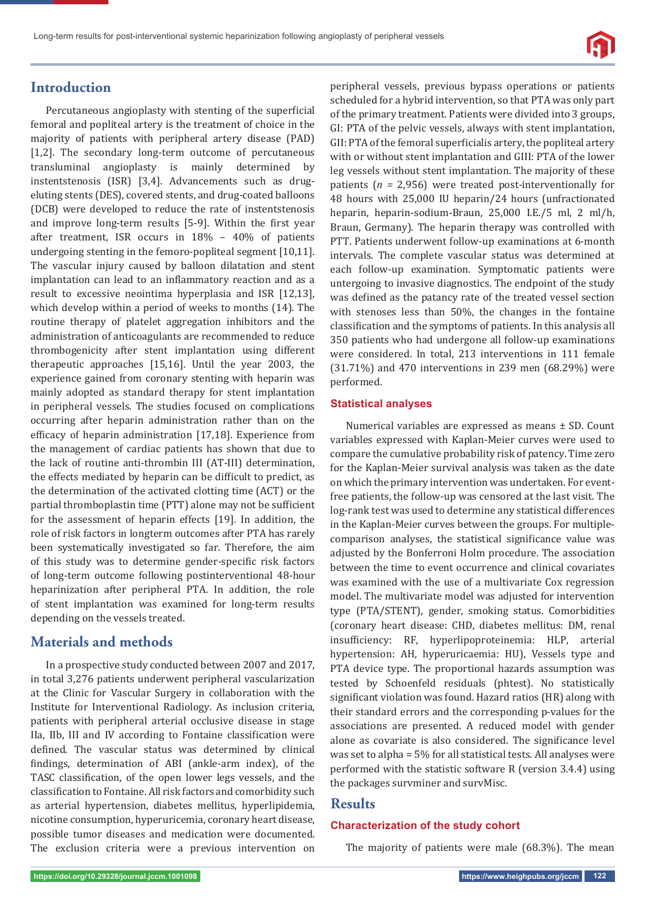

# **Introduction**

Percutaneous angioplasty with stenting of the superficial femoral and popliteal artery is the treatment of choice in the majority of patients with peripheral artery disease (PAD) [1,2]. The secondary long-term outcome of percutaneous transluminal angioplasty is mainly determined by instentstenosis (ISR) [3,4]. Advancements such as drugeluting stents (DES), covered stents, and drug-coated balloons (DCB) were developed to reduce the rate of instentstenosis and improve long-term results [5-9]. Within the first year after treatment, ISR occurs in 18% – 40% of patients undergoing stenting in the femoro-popliteal segment [10,11]. The vascular injury caused by balloon dilatation and stent implantation can lead to an inflammatory reaction and as a result to excessive neointima hyperplasia and ISR [12,13], which develop within a period of weeks to months (14). The routine therapy of platelet aggregation inhibitors and the administration of anticoagulants are recommended to reduce thrombogenicity after stent implantation using different therapeutic approaches [15,16]. Until the year 2003, the experience gained from coronary stenting with heparin was mainly adopted as standard therapy for stent implantation in peripheral vessels. The studies focused on complications occurring after heparin administration rather than on the efficacy of heparin administration [17,18]. Experience from the management of cardiac patients has shown that due to the lack of routine anti-thrombin III (AT-III) determination, the effects mediated by heparin can be difficult to predict, as the determination of the activated clotting time (ACT) or the partial thromboplastin time (PTT) alone may not be sufficient for the assessment of heparin effects [19]. In addition, the role of risk factors in longterm outcomes after PTA has rarely been systematically investigated so far. Therefore, the aim of this study was to determine gender-specific risk factors of long-term outcome following postinterventional 48-hour heparinization after peripheral PTA. In addition, the role of stent implantation was examined for long-term results depending on the vessels treated.

# **Materials and methods**

In a prospective study conducted between 2007 and 2017, in total 3,276 patients underwent peripheral vascularization at the Clinic for Vascular Surgery in collaboration with the Institute for Interventional Radiology. As inclusion criteria, patients with peripheral arterial occlusive disease in stage IIa, IIb, III and IV according to Fontaine classification were defined. The vascular status was determined by clinical findings, determination of ABI (ankle-arm index), of the TASC classification, of the open lower legs vessels, and the classification to Fontaine. All risk factors and comorbidity such as arterial hypertension, diabetes mellitus, hyperlipidemia, nicotine consumption, hyperuricemia, coronary heart disease, possible tumor diseases and medication were documented. The exclusion criteria were a previous intervention on peripheral vessels, previous bypass operations or patients scheduled for a hybrid intervention, so that PTA was only part of the primary treatment. Patients were divided into 3 groups, GI: PTA of the pelvic vessels, always with stent implantation, GII: PTA of the femoral superficialis artery, the popliteal artery with or without stent implantation and GIII: PTA of the lower leg vessels without stent implantation. The majority of these patients (*n =* 2,956) were treated post-interventionally for 48 hours with 25,000 IU heparin/24 hours (unfractionated heparin, heparin-sodium-Braun, 25,000 I.E./5 ml, 2 ml/h, Braun, Germany). The heparin therapy was controlled with PTT. Patients underwent follow-up examinations at 6-month intervals. The complete vascular status was determined at each follow-up examination. Symptomatic patients were untergoing to invasive diagnostics. The endpoint of the study was defined as the patancy rate of the treated vessel section with stenoses less than 50%, the changes in the fontaine classification and the symptoms of patients. In this analysis all 350 patients who had undergone all follow-up examinations were considered. In total, 213 interventions in 111 female (31.71%) and 470 interventions in 239 men (68.29%) were performed.

#### **Statistical analyses**

Numerical variables are expressed as means ± SD. Count variables expressed with Kaplan-Meier curves were used to compare the cumulative probability risk of patency. Time zero for the Kaplan-Meier survival analysis was taken as the date on which the primary intervention was undertaken. For eventfree patients, the follow-up was censored at the last visit. The log-rank test was used to determine any statistical differences in the Kaplan-Meier curves between the groups. For multiplecomparison analyses, the statistical significance value was adjusted by the Bonferroni Holm procedure. The association between the time to event occurrence and clinical covariates was examined with the use of a multivariate Cox regression model. The multivariate model was adjusted for intervention type (PTA/STENT), gender, smoking status. Comorbidities (coronary heart disease: CHD, diabetes mellitus: DM, renal insufficiency: RF, hyperlipoproteinemia: HLP, arterial hypertension: AH, hyperuricaemia: HU), Vessels type and PTA device type. The proportional hazards assumption was tested by Schoenfeld residuals (phtest). No statistically significant violation was found. Hazard ratios (HR) along with their standard errors and the corresponding p-values for the associations are presented. A reduced model with gender alone as covariate is also considered. The significance level was set to alpha = 5% for all statistical tests. All analyses were performed with the statistic software R (version 3.4.4) using the packages survminer and survMisc.

## **Results**

#### **Characterization of the study cohort**

The majority of patients were male (68.3%). The mean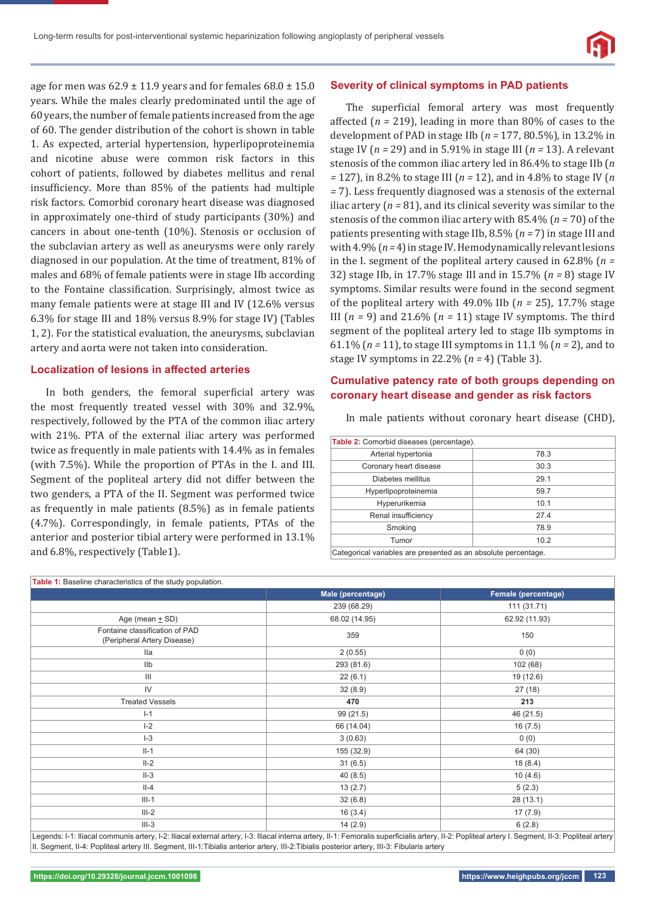

age for men was  $62.9 \pm 11.9$  years and for females  $68.0 \pm 15.0$ years. While the males clearly predominated until the age of 60 years, the number of female patients increased from the age of 60. The gender distribution of the cohort is shown in table 1. As expected, arterial hypertension, hyperlipoproteinemia and nicotine abuse were common risk factors in this cohort of patients, followed by diabetes mellitus and renal insufficiency. More than 85% of the patients had multiple risk factors. Comorbid coronary heart disease was diagnosed in approximately one-third of study participants (30%) and cancers in about one-tenth (10%). Stenosis or occlusion of the subclavian artery as well as aneurysms were only rarely diagnosed in our population. At the time of treatment, 81% of males and 68% of female patients were in stage IIb according to the Fontaine classification. Surprisingly, almost twice as many female patients were at stage III and IV (12.6% versus 6.3% for stage III and 18% versus 8.9% for stage IV) (Tables 1, 2). For the statistical evaluation, the aneurysms, subclavian artery and aorta were not taken into consideration.

#### **Localization of lesions in affected arteries**

In both genders, the femoral superficial artery was the most frequently treated vessel with 30% and 32.9%, respectively, followed by the PTA of the common iliac artery with 21%. PTA of the external iliac artery was performed twice as frequently in male patients with 14.4% as in females (with 7.5%). While the proportion of PTAs in the I. and III. Segment of the popliteal artery did not differ between the two genders, a PTA of the II. Segment was performed twice as frequently in male patients (8.5%) as in female patients (4.7%). Correspondingly, in female patients, PTAs of the anterior and posterior tibial artery were performed in 13.1% and 6.8%, respectively (Table1).

#### **Severity of clinical symptoms in PAD patients**

The superficial femoral artery was most frequently affected (*n =* 219), leading in more than 80% of cases to the development of PAD in stage IIb (*n =* 177, 80.5%), in 13.2% in stage IV (*n =* 29) and in 5.91% in stage III (*n =* 13). A relevant stenosis of the common iliac artery led in 86.4% to stage IIb (*n =* 127), in 8.2% to stage III (*n =* 12), and in 4.8% to stage IV (*n =* 7). Less frequently diagnosed was a stenosis of the external iliac artery (*n =* 81), and its clinical severity was similar to the stenosis of the common iliac artery with 85.4% (*n =* 70) of the patients presenting with stage IIb, 8.5% (*n =* 7) in stage III and with 4.9% (*n =* 4) in stage IV. Hemodynamically relevant lesions in the I. segment of the popliteal artery caused in 62.8% (*n =*  32) stage IIb, in 17.7% stage III and in 15.7% (*n =* 8) stage IV symptoms. Similar results were found in the second segment of the popliteal artery with  $49.0\%$  IIb ( $n = 25$ ), 17.7% stage III  $(n = 9)$  and 21.6%  $(n = 11)$  stage IV symptoms. The third segment of the popliteal artery led to stage IIb symptoms in 61.1% (*n =* 11), to stage III symptoms in 11.1 % (*n =* 2), and to stage IV symptoms in 22.2% (*n =* 4) (Table 3).

#### **Cumulative patency rate of both groups depending on coronary heart disease and gender as risk factors**

In male patients without coronary heart disease (CHD),

| <b>Table 2:</b> Comorbid diseases (percentage).                |      |  |  |  |
|----------------------------------------------------------------|------|--|--|--|
| Arterial hypertonia                                            | 78.3 |  |  |  |
| Coronary heart disease                                         | 30.3 |  |  |  |
| Diabetes mellitus                                              | 29.1 |  |  |  |
| Hyperlipoproteinemia                                           | 59.7 |  |  |  |
| Hyperurikemia                                                  | 10.1 |  |  |  |
| Renal insufficiency<br>27.4                                    |      |  |  |  |
| Smoking<br>78.9                                                |      |  |  |  |
| 10.2<br>Tumor                                                  |      |  |  |  |
| Categorical variables are presented as an absolute percentage. |      |  |  |  |

| Table 1: Baseline characteristics of the study population.    |                   |                     |  |  |
|---------------------------------------------------------------|-------------------|---------------------|--|--|
|                                                               | Male (percentage) | Female (percentage) |  |  |
|                                                               | 239 (68.29)       | 111 (31.71)         |  |  |
| Age (mean $\pm$ SD)                                           | 68.02 (14.95)     | 62.92 (11.93)       |  |  |
| Fontaine classification of PAD<br>(Peripheral Artery Disease) | 359               | 150                 |  |  |
| lla                                                           | 2(0.55)           | 0(0)                |  |  |
| <b>IIb</b>                                                    | 293 (81.6)        | 102 (68)            |  |  |
| $\mathbf{III}$                                                | 22(6.1)           | 19 (12.6)           |  |  |
| IV                                                            | 32(8.9)           | 27(18)              |  |  |
| <b>Treated Vessels</b>                                        | 470               | 213                 |  |  |
| $I-1$                                                         | 99 (21.5)         | 46 (21.5)           |  |  |
| $I-2$                                                         | 66 (14.04)        | 16(7.5)             |  |  |
| $I-3$                                                         | 3(0.63)           | 0(0)                |  |  |
| $II-1$                                                        | 155 (32.9)        | 64 (30)             |  |  |
| $II-2$                                                        | 31(6.5)           | 18(8.4)             |  |  |
| $II-3$                                                        | 40(8.5)           | 10(4.6)             |  |  |
| $II-4$                                                        | 13(2.7)           | 5(2.3)              |  |  |
| $III-1$                                                       | 32(6.8)           | 28 (13.1)           |  |  |
| $III-2$                                                       | 16(3.4)           | 17(7.9)             |  |  |
| $III-3$                                                       | 14(2.9)           | 6(2.8)              |  |  |
|                                                               |                   |                     |  |  |

Legends: I-1: Iliacal communis artery, I-2: Iliacal external artery, I-3: Iliacal interna artery, II-1: Femoralis superficialis artery, II-2: Popliteal artery I. Segment, II-3: Popliteal artery II. Segment, II-4: Popliteal artery III. Segment, III-1:Tibialis anterior artery, III-2:Tibialis posterior artery, III-3: Fibularis artery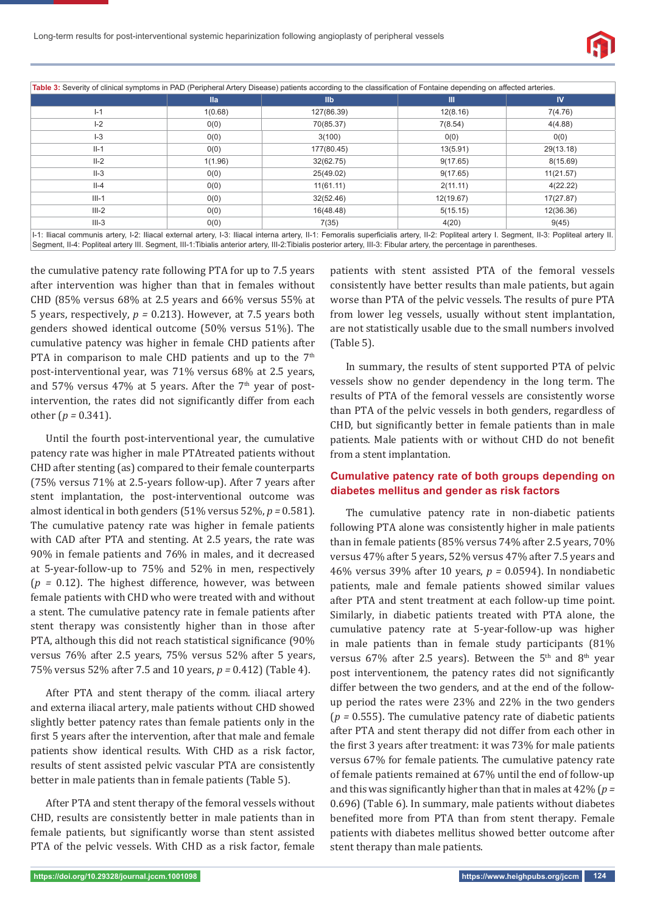

| Table 3: Severity of clinical symptoms in PAD (Peripheral Artery Disease) patients according to the classification of Fontaine depending on affected arteries.                               |                 |                |           |           |
|----------------------------------------------------------------------------------------------------------------------------------------------------------------------------------------------|-----------------|----------------|-----------|-----------|
|                                                                                                                                                                                              | $\mathbf{II}$ a | I <sub>1</sub> | Ш         | <b>IV</b> |
| $I-1$                                                                                                                                                                                        | 1(0.68)         | 127(86.39)     | 12(8.16)  | 7(4.76)   |
| $I-2$                                                                                                                                                                                        | 0(0)            | 70(85.37)      | 7(8.54)   | 4(4.88)   |
| $I-3$                                                                                                                                                                                        | 0(0)            | 3(100)         | 0(0)      | 0(0)      |
| $II-1$                                                                                                                                                                                       | 0(0)            | 177(80.45)     | 13(5.91)  | 29(13.18) |
| $II-2$                                                                                                                                                                                       | 1(1.96)         | 32(62.75)      | 9(17.65)  | 8(15.69)  |
| $II-3$                                                                                                                                                                                       | 0(0)            | 25(49.02)      | 9(17.65)  | 11(21.57) |
| $II-4$                                                                                                                                                                                       | 0(0)            | 11(61.11)      | 2(11.11)  | 4(22.22)  |
| $III-1$                                                                                                                                                                                      | 0(0)            | 32(52.46)      | 12(19.67) | 17(27.87) |
| $III - 2$                                                                                                                                                                                    | 0(0)            | 16(48.48)      | 5(15.15)  | 12(36.36) |
| $III-3$                                                                                                                                                                                      | 0(0)            | 7(35)          | 4(20)     | 9(45)     |
| 1-1: Iliacal communis artery, 1-2: Iliacal external artery, 1-3: Iliacal interna artery, II-1: Femoralis superficialis artery, II-2: Popliteal artery I. Segment, II-3: Popliteal artery II. |                 |                |           |           |

Segment, II-4: Popliteal artery III. Segment, III-1:Tibialis anterior artery, III-2:Tibialis posterior artery, III-3: Fibular artery, the percentage in parentheses.

the cumulative patency rate following PTA for up to 7.5 years after intervention was higher than that in females without CHD (85% versus 68% at 2.5 years and 66% versus 55% at 5 years, respectively, *p =* 0.213). However, at 7.5 years both genders showed identical outcome (50% versus 51%). The cumulative patency was higher in female CHD patients after PTA in comparison to male CHD patients and up to the  $7<sup>th</sup>$ post-interventional year, was 71% versus 68% at 2.5 years, and 57% versus 47% at 5 years. After the  $7<sup>th</sup>$  year of postintervention, the rates did not significantly differ from each other (*p =* 0.341).

Until the fourth post-interventional year, the cumulative patency rate was higher in male PTAtreated patients without CHD after stenting (as) compared to their female counterparts (75% versus 71% at 2.5-years follow-up). After 7 years after stent implantation, the post-interventional outcome was almost identical in both genders (51% versus 52%, *p =* 0.581). The cumulative patency rate was higher in female patients with CAD after PTA and stenting. At 2.5 years, the rate was 90% in female patients and 76% in males, and it decreased at 5-year-follow-up to 75% and 52% in men, respectively (*p =* 0.12). The highest difference, however, was between female patients with CHD who were treated with and without a stent. The cumulative patency rate in female patients after stent therapy was consistently higher than in those after PTA, although this did not reach statistical significance (90% versus 76% after 2.5 years, 75% versus 52% after 5 years, 75% versus 52% after 7.5 and 10 years, *p =* 0.412) (Table 4).

After PTA and stent therapy of the comm. iliacal artery and externa iliacal artery, male patients without CHD showed slightly better patency rates than female patients only in the first 5 years after the intervention, after that male and female patients show identical results. With CHD as a risk factor, results of stent assisted pelvic vascular PTA are consistently better in male patients than in female patients (Table 5).

After PTA and stent therapy of the femoral vessels without CHD, results are consistently better in male patients than in female patients, but significantly worse than stent assisted PTA of the pelvic vessels. With CHD as a risk factor, female patients with stent assisted PTA of the femoral vessels consistently have better results than male patients, but again worse than PTA of the pelvic vessels. The results of pure PTA from lower leg vessels, usually without stent implantation, are not statistically usable due to the small numbers involved (Table 5).

In summary, the results of stent supported PTA of pelvic vessels show no gender dependency in the long term. The results of PTA of the femoral vessels are consistently worse than PTA of the pelvic vessels in both genders, regardless of CHD, but significantly better in female patients than in male patients. Male patients with or without CHD do not benefit from a stent implantation.

#### **Cumulative patency rate of both groups depending on diabetes mellitus and gender as risk factors**

The cumulative patency rate in non-diabetic patients following PTA alone was consistently higher in male patients than in female patients (85% versus 74% after 2.5 years, 70% versus 47% after 5 years, 52% versus 47% after 7.5 years and 46% versus 39% after 10 years, *p =* 0.0594). In nondiabetic patients, male and female patients showed similar values after PTA and stent treatment at each follow-up time point. Similarly, in diabetic patients treated with PTA alone, the cumulative patency rate at 5-year-follow-up was higher in male patients than in female study participants (81% versus 67% after 2.5 years). Between the  $5<sup>th</sup>$  and  $8<sup>th</sup>$  year post interventionem, the patency rates did not significantly differ between the two genders, and at the end of the followup period the rates were 23% and 22% in the two genders (*p =* 0.555). The cumulative patency rate of diabetic patients after PTA and stent therapy did not differ from each other in the first 3 years after treatment: it was 73% for male patients versus 67% for female patients. The cumulative patency rate of female patients remained at 67% until the end of follow-up and this was significantly higher than that in males at 42% (*p* = 0.696) (Table 6). In summary, male patients without diabetes benefited more from PTA than from stent therapy. Female patients with diabetes mellitus showed better outcome after stent therapy than male patients.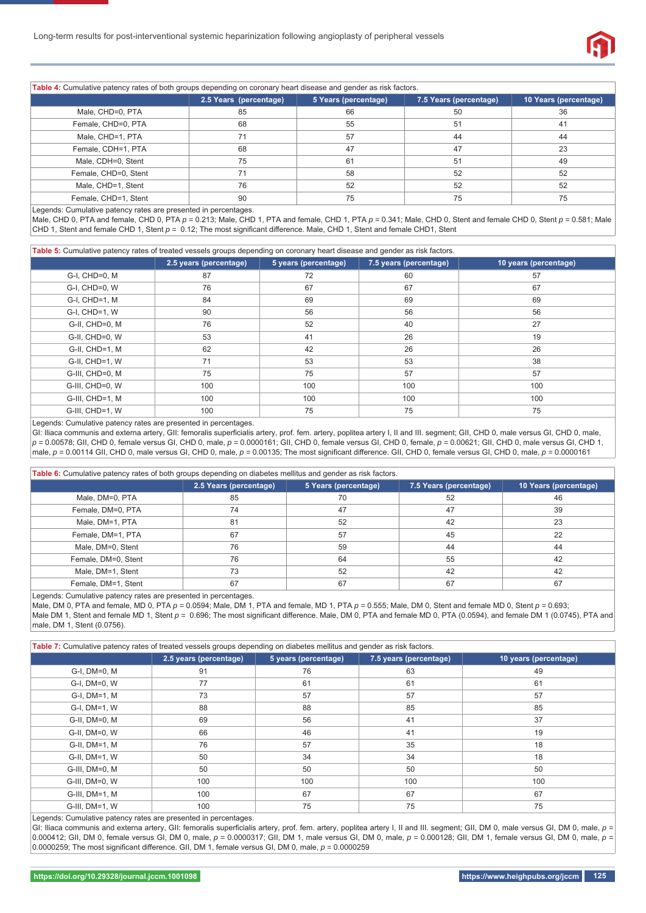

**Table 4:** Cumulative patency rates of both groups depending on coronary heart disease and gender as risk factors.

|                      | 2.5 Years (percentage) | 5 Years (percentage) | 7.5 Years (percentage) | 10 Years (percentage) |
|----------------------|------------------------|----------------------|------------------------|-----------------------|
| Male, CHD=0, PTA     | 85                     | 66                   | 50                     | 36                    |
| Female, CHD=0, PTA   | 68                     | 55                   | 51                     | 41                    |
| Male, CHD=1, PTA     | 71                     | 57                   | 44                     | 44                    |
| Female, CDH=1, PTA   | 68                     | 47                   | 47                     | 23                    |
| Male, CDH=0, Stent   | 75                     | 61                   | 51                     | 49                    |
| Female, CHD=0, Stent |                        | 58                   | 52                     | 52                    |
| Male, CHD=1, Stent   | 76                     | 52                   | 52                     | 52                    |
| Female, CHD=1, Stent | 90                     | 75                   | 75                     | 75                    |

Legends: Cumulative patency rates are presented in percentages.

Male, CHD 0, PTA and female, CHD 0, PTA *p =* 0.213; Male, CHD 1, PTA and female, CHD 1, PTA *p =* 0.341; Male, CHD 0, Stent and female CHD 0, Stent *p =* 0.581; Male CHD 1, Stent and female CHD 1, Stent  $p = 0.12$ ; The most significant difference. Male, CHD 1, Stent and female CHD1, Stent

| Table 5: Cumulative patency rates of treated vessels groups depending on coronary heart disease and gender as risk factors. |  |  |  |  |  |  |
|-----------------------------------------------------------------------------------------------------------------------------|--|--|--|--|--|--|
| 10 years (percentage)<br>2.5 years (percentage)<br>5 years (percentage) $\sqrt{7.5}$ years (percentage)                     |  |  |  |  |  |  |
| $C$ $\cup$ $C$ $\cup$ $D-\cap$ $M$                                                                                          |  |  |  |  |  |  |

| G-I, CHD=0, M   | 87  | 72  | 60  | 57  |
|-----------------|-----|-----|-----|-----|
| G-I, CHD=0, W   | 76  | 67  | 67  | 67  |
| G-I, CHD=1, M   | 84  | 69  | 69  | 69  |
| G-I, CHD=1, W   | 90  | 56  | 56  | 56  |
| G-II, CHD=0, M  | 76  | 52  | 40  | 27  |
| G-II, CHD=0, W  | 53  | 41  | 26  | 19  |
| G-II, CHD=1, M  | 62  | 42  | 26  | 26  |
| G-II, CHD=1, W  | 71  | 53  | 53  | 38  |
| G-III, CHD=0, M | 75  | 75  | 57  | 57  |
| G-III, CHD=0, W | 100 | 100 | 100 | 100 |
| G-III, CHD=1, M | 100 | 100 | 100 | 100 |
| G-III, CHD=1, W | 100 | 75  | 75  | 75  |

Legends: Cumulative patency rates are presented in percentages.

GI: Iliaca communis and externa artery, GII: femoralis superficialis artery, prof. fem. artery, poplitea artery I, II and III. segment; GII, CHD 0, male versus GI, CHD 0, male,  $p = 0.00578$ ; GII, CHD 0, female versus GI, CHD 0, male,  $p = 0.0000161$ ; GII, CHD 0, female versus GI, CHD 0, female,  $p = 0.00621$ ; GII, CHD 0, male versus GI, CHD 1, male,  $p = 0.00114$  GII, CHD 0, male versus GI, CHD 0, male,  $p = 0.00135$ ; The most significant difference. GII, CHD 0, female versus GI, CHD 0, male,  $p = 0.0000161$ 

| Table 6: Cumulative patency rates of both groups depending on diabetes mellitus and gender as risk factors. |                        |                      |                        |                       |  |  |
|-------------------------------------------------------------------------------------------------------------|------------------------|----------------------|------------------------|-----------------------|--|--|
|                                                                                                             | 2.5 Years (percentage) | 5 Years (percentage) | 7.5 Years (percentage) | 10 Years (percentage) |  |  |
| Male, DM=0, PTA                                                                                             | 85                     | 70                   | 52                     | 46                    |  |  |
| Female, DM=0, PTA                                                                                           | 74                     | 47                   | 47                     | 39                    |  |  |
| Male, DM=1, PTA                                                                                             | 81                     | 52                   | 42                     | 23                    |  |  |
| Female, DM=1, PTA                                                                                           | 67                     | 57                   | 45                     | 22                    |  |  |
| Male, DM=0, Stent                                                                                           | 76                     | 59                   | 44                     | 44                    |  |  |
| Female, DM=0, Stent                                                                                         | 76                     | 64                   | 55                     | 42                    |  |  |
| Male, DM=1, Stent                                                                                           | 73                     | 52                   | 42                     | 42                    |  |  |
| Female, DM=1, Stent                                                                                         | 67                     | 67                   | 67                     | 67                    |  |  |

Legends: Cumulative patency rates are presented in percentages.

Male, DM 0, PTA and female, MD 0, PTA  $p = 0.0594$ ; Male, DM 1, PTA and female, MD 1, PTA  $p = 0.555$ ; Male, DM 0, Stent and female MD 0, Stent  $p = 0.693$ ; Male DM 1, Stent and female MD 1, Stent  $p = 0.696$ ; The most significant difference. Male, DM 0, PTA and female MD 0, PTA (0.0594), and female DM 1 (0.0745), PTA and male, DM 1, Stent (0.0756).

| Table 7: Cumulative patency rates of treated vessels groups depending on diabetes mellitus and gender as risk factors. |                        |                      |                        |                       |  |
|------------------------------------------------------------------------------------------------------------------------|------------------------|----------------------|------------------------|-----------------------|--|
|                                                                                                                        | 2.5 years (percentage) | 5 years (percentage) | 7.5 years (percentage) | 10 years (percentage) |  |
| G-I, DM=0, M                                                                                                           | 91                     | 76                   | 63                     | 49                    |  |
| G-I, DM=0, W                                                                                                           | 77                     | 61                   | 61                     | 61                    |  |
| G-I, DM=1, M                                                                                                           | 73                     | 57                   | 57                     | 57                    |  |
| G-I, DM=1, W                                                                                                           | 88                     | 88                   | 85                     | 85                    |  |
| G-II, DM=0, M                                                                                                          | 69                     | 56                   | 41                     | 37                    |  |
| G-II, DM=0, W                                                                                                          | 66                     | 46                   | 41                     | 19                    |  |
| G-II, DM=1, M                                                                                                          | 76                     | 57                   | 35                     | 18                    |  |
| $G-II, DM=1, W$                                                                                                        | 50                     | 34                   | 34                     | 18                    |  |
| G-III, DM=0, M                                                                                                         | 50                     | 50                   | 50                     | 50                    |  |
| G-III, DM=0, W                                                                                                         | 100                    | 100                  | 100                    | 100                   |  |
| G-III, DM=1, M                                                                                                         | 100                    | 67                   | 67                     | 67                    |  |
| G-III, DM=1, W                                                                                                         | 100                    | 75                   | 75                     | 75                    |  |

Legends: Cumulative patency rates are presented in percentages.

GI: Iliaca communis and externa artery, GII: femoralis superficialis artery, prof. fem. artery, poplitea artery I, II and III. segment; GII, DM 0, male versus GI, DM 0, male,  $p =$ 0.000412; GII, DM 0, female versus GI, DM 0, male, *p =* 0.0000317; GII, DM 1, male versus GI, DM 0, male, *p =* 0.000128; GII, DM 1, female versus GI, DM 0, male, *p =* 0.0000259; The most significant difference. GII, DM 1, female versus GI, DM 0, male,  $p = 0.0000259$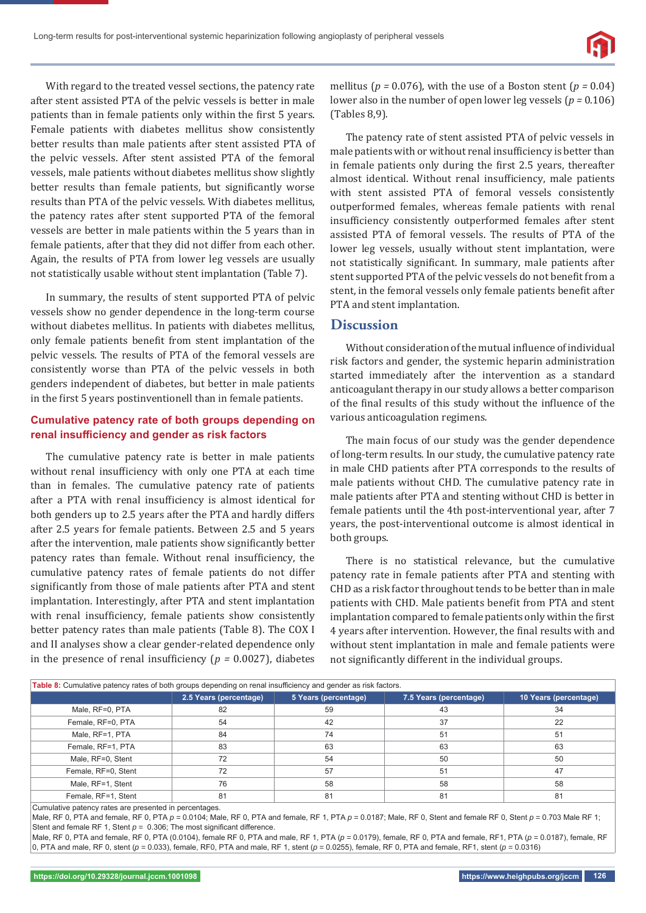

With regard to the treated vessel sections, the patency rate after stent assisted PTA of the pelvic vessels is better in male patients than in female patients only within the first 5 years. Female patients with diabetes mellitus show consistently better results than male patients after stent assisted PTA of the pelvic vessels. After stent assisted PTA of the femoral vessels, male patients without diabetes mellitus show slightly better results than female patients, but significantly worse results than PTA of the pelvic vessels. With diabetes mellitus, the patency rates after stent supported PTA of the femoral vessels are better in male patients within the 5 years than in female patients, after that they did not differ from each other. Again, the results of PTA from lower leg vessels are usually not statistically usable without stent implantation (Table 7).

In summary, the results of stent supported PTA of pelvic vessels show no gender dependence in the long-term course without diabetes mellitus. In patients with diabetes mellitus, only female patients benefit from stent implantation of the pelvic vessels. The results of PTA of the femoral vessels are consistently worse than PTA of the pelvic vessels in both genders independent of diabetes, but better in male patients in the first 5 years postinventionell than in female patients.

## **Cumulative patency rate of both groups depending on renal insufficiency and gender as risk factors**

The cumulative patency rate is better in male patients without renal insufficiency with only one PTA at each time than in females. The cumulative patency rate of patients after a PTA with renal insufficiency is almost identical for both genders up to 2.5 years after the PTA and hardly differs after 2.5 years for female patients. Between 2.5 and 5 years after the intervention, male patients show significantly better patency rates than female. Without renal insufficiency, the cumulative patency rates of female patients do not differ significantly from those of male patients after PTA and stent implantation. Interestingly, after PTA and stent implantation with renal insufficiency, female patients show consistently better patency rates than male patients (Table 8). The COX I and II analyses show a clear gender-related dependence only in the presence of renal insufficiency ( $p = 0.0027$ ), diabetes

mellitus (*p =* 0.076), with the use of a Boston stent (*p =* 0.04) lower also in the number of open lower leg vessels (*p =* 0.106) (Tables 8,9).

The patency rate of stent assisted PTA of pelvic vessels in male patients with or without renal insufficiency is better than in female patients only during the first 2.5 years, thereafter almost identical. Without renal insufficiency, male patients with stent assisted PTA of femoral vessels consistently outperformed females, whereas female patients with renal insufficiency consistently outperformed females after stent assisted PTA of femoral vessels. The results of PTA of the lower leg vessels, usually without stent implantation, were not statistically significant. In summary, male patients after stent supported PTA of the pelvic vessels do not benefit from a stent, in the femoral vessels only female patients benefit after PTA and stent implantation.

## **Discussion**

Without consideration of the mutual influence of individual risk factors and gender, the systemic heparin administration started immediately after the intervention as a standard anticoagulant therapy in our study allows a better comparison of the final results of this study without the influence of the various anticoagulation regimens.

The main focus of our study was the gender dependence of long-term results. In our study, the cumulative patency rate in male CHD patients after PTA corresponds to the results of male patients without CHD. The cumulative patency rate in male patients after PTA and stenting without CHD is better in female patients until the 4th post-interventional year, after 7 years, the post-interventional outcome is almost identical in both groups.

There is no statistical relevance, but the cumulative patency rate in female patients after PTA and stenting with CHD as a risk factor throughout tends to be better than in male patients with CHD. Male patients benefit from PTA and stent implantation compared to female patients only within the first 4 years after intervention. However, the final results with and without stent implantation in male and female patients were not significantly different in the individual groups.

| Table 8: Cumulative patency rates of both groups depending on renal insufficiency and gender as risk factors. |                        |                      |                        |                       |  |
|---------------------------------------------------------------------------------------------------------------|------------------------|----------------------|------------------------|-----------------------|--|
|                                                                                                               | 2.5 Years (percentage) | 5 Years (percentage) | 7.5 Years (percentage) | 10 Years (percentage) |  |
| Male, RF=0, PTA                                                                                               | 82                     | 59                   | 43                     | 34                    |  |
| Female, RF=0, PTA                                                                                             | 54                     | 42                   | 37                     | 22                    |  |
| Male, RF=1, PTA                                                                                               | 84                     | 74                   | 51                     | 51                    |  |
| Female, RF=1, PTA                                                                                             | 83                     | 63                   | 63                     | 63                    |  |
| Male, RF=0, Stent                                                                                             | 72                     | 54                   | 50                     | 50                    |  |
| Female, RF=0, Stent                                                                                           | 72                     | 57                   | 51                     | 47                    |  |
| Male, RF=1, Stent                                                                                             | 76                     | 58                   | 58                     | 58                    |  |
| Female, RF=1, Stent                                                                                           | 81                     | 81                   | 81                     | 81                    |  |

Cumulative patency rates are presented in percentages.

Male, RF 0, PTA and female, RF 0, PTA *p =* 0.0104; Male, RF 0, PTA and female, RF 1, PTA *p =* 0.0187; Male, RF 0, Stent and female RF 0, Stent *p =* 0.703 Male RF 1; Stent and female RF 1, Stent  $p = 0.306$ ; The most significant difference.

Male, RF 0, PTA and female, RF 0, PTA (0.0104), female RF 0, PTA and male, RF 1, PTA (*p =* 0.0179), female, RF 0, PTA and female, RF1, PTA (*p =* 0.0187), female, RF 0, PTA and male, RF 0, stent (*p =* 0.033), female, RF0, PTA and male, RF 1, stent (*p =* 0.0255), female, RF 0, PTA and female, RF1, stent (*p =* 0.0316)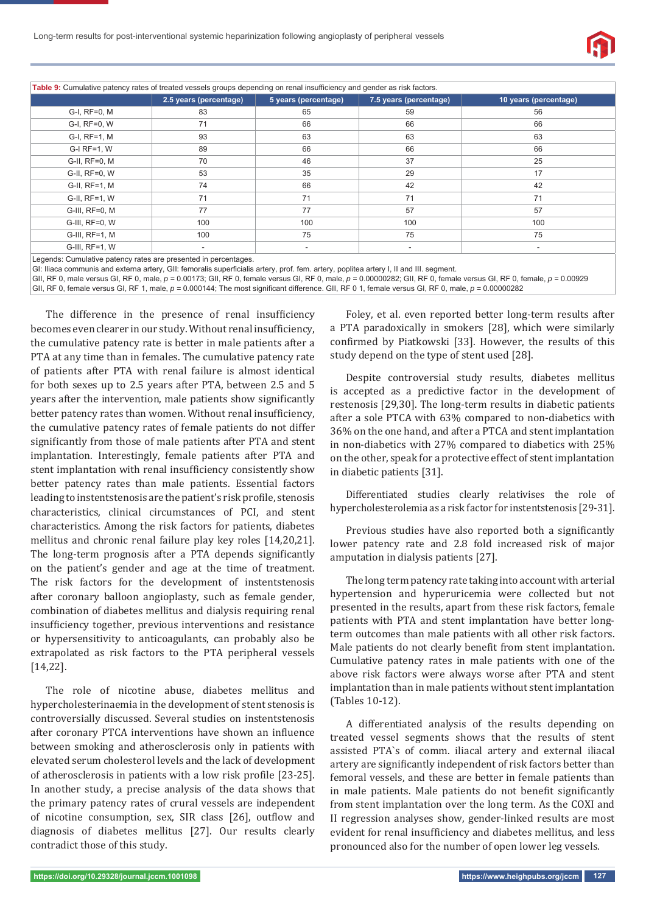

Table 9: Cumulative patency rates of treated vessels groups depending on renal insufficiency and gender as risk factors.

|                   | 2.5 years (percentage)   | 5 years (percentage) | 7.5 years (percentage)   | 10 years (percentage) |
|-------------------|--------------------------|----------------------|--------------------------|-----------------------|
| G-I, RF=0, M      | 83                       | 65                   | 59                       | 56                    |
| G-I, RF=0, W      | 71                       | 66                   | 66                       | 66                    |
| G-I, RF=1, M      | 93                       | 63                   | 63                       | 63                    |
| $G-I$ RF=1, W     | 89                       | 66                   | 66                       | 66                    |
| G-II, RF=0, M     | 70                       | 46                   | 37                       | 25                    |
| G-II, RF=0, W     | 53                       | 35                   | 29                       | 17                    |
| G-II, RF=1, M     | 74                       | 66                   | 42                       | 42                    |
| G-II, RF=1, W     | 71                       | 71                   | 71                       | 71                    |
| G-III, RF=0, M    | 77                       | 77                   | 57                       | 57                    |
| G-III, RF=0, W    | 100                      | 100                  | 100                      | 100                   |
| $G$ -III, RF=1, M | 100                      | 75                   | 75                       | 75                    |
| G-III, RF=1, W    | $\overline{\phantom{a}}$ | ٠                    | $\overline{\phantom{a}}$ | ۰.                    |

Legends: Cumulative patency rates are presented in percentages.

GI: Iliaca communis and externa artery, GII: femoralis superficialis artery, prof. fem. artery, poplitea artery I, II and III. segment.

GII, RF 0, male versus GI, RF 0, male, *p =* 0.00173; GII, RF 0, female versus GI, RF 0, male, *p =* 0.00000282; GII, RF 0, female versus GI, RF 0, female, *p =* 0.00929

GII, RF 0, female versus GI, RF 1, male,  $p = 0.000144$ ; The most significant difference. GII, RF 0 1, female versus GI, RF 0, male,  $p = 0.00000282$ 

The difference in the presence of renal insufficiency becomes even clearer in our study. Without renal insufficiency, the cumulative patency rate is better in male patients after a PTA at any time than in females. The cumulative patency rate of patients after PTA with renal failure is almost identical for both sexes up to 2.5 years after PTA, between 2.5 and 5 years after the intervention, male patients show significantly better patency rates than women. Without renal insufficiency, the cumulative patency rates of female patients do not differ significantly from those of male patients after PTA and stent implantation. Interestingly, female patients after PTA and stent implantation with renal insufficiency consistently show better patency rates than male patients. Essential factors leading to instentstenosis are the patient's risk profile, stenosis characteristics, clinical circumstances of PCI, and stent characteristics. Among the risk factors for patients, diabetes mellitus and chronic renal failure play key roles [14,20,21]. The long-term prognosis after a PTA depends significantly on the patient's gender and age at the time of treatment. The risk factors for the development of instentstenosis after coronary balloon angioplasty, such as female gender, combination of diabetes mellitus and dialysis requiring renal insufficiency together, previous interventions and resistance or hypersensitivity to anticoagulants, can probably also be extrapolated as risk factors to the PTA peripheral vessels [14,22].

The role of nicotine abuse, diabetes mellitus and hypercholesterinaemia in the development of stent stenosis is controversially discussed. Several studies on instentstenosis after coronary PTCA interventions have shown an influence between smoking and atherosclerosis only in patients with elevated serum cholesterol levels and the lack of development of atherosclerosis in patients with a low risk profile [23-25]. In another study, a precise analysis of the data shows that the primary patency rates of crural vessels are independent of nicotine consumption, sex, SIR class [26], outflow and diagnosis of diabetes mellitus [27]. Our results clearly contradict those of this study.

Foley, et al. even reported better long-term results after a PTA paradoxically in smokers [28], which were similarly confirmed by Piatkowski [33]. However, the results of this study depend on the type of stent used [28].

Despite controversial study results, diabetes mellitus is accepted as a predictive factor in the development of restenosis [29,30]. The long-term results in diabetic patients after a sole PTCA with 63% compared to non-diabetics with 36% on the one hand, and after a PTCA and stent implantation in non-diabetics with 27% compared to diabetics with 25% on the other, speak for a protective effect of stent implantation in diabetic patients [31].

Differentiated studies clearly relativises the role of hypercholesterolemia as a risk factor for instentstenosis [29-31].

Previous studies have also reported both a significantly lower patency rate and 2.8 fold increased risk of major amputation in dialysis patients [27].

The long term patency rate taking into account with arterial hypertension and hyperuricemia were collected but not presented in the results, apart from these risk factors, female patients with PTA and stent implantation have better longterm outcomes than male patients with all other risk factors. Male patients do not clearly benefit from stent implantation. Cumulative patency rates in male patients with one of the above risk factors were always worse after PTA and stent implantation than in male patients without stent implantation (Tables 10-12).

A differentiated analysis of the results depending on treated vessel segments shows that the results of stent assisted PTA`s of comm. iliacal artery and external iliacal artery are significantly independent of risk factors better than femoral vessels, and these are better in female patients than in male patients. Male patients do not benefit significantly from stent implantation over the long term. As the COXI and II regression analyses show, gender-linked results are most evident for renal insufficiency and diabetes mellitus, and less pronounced also for the number of open lower leg vessels.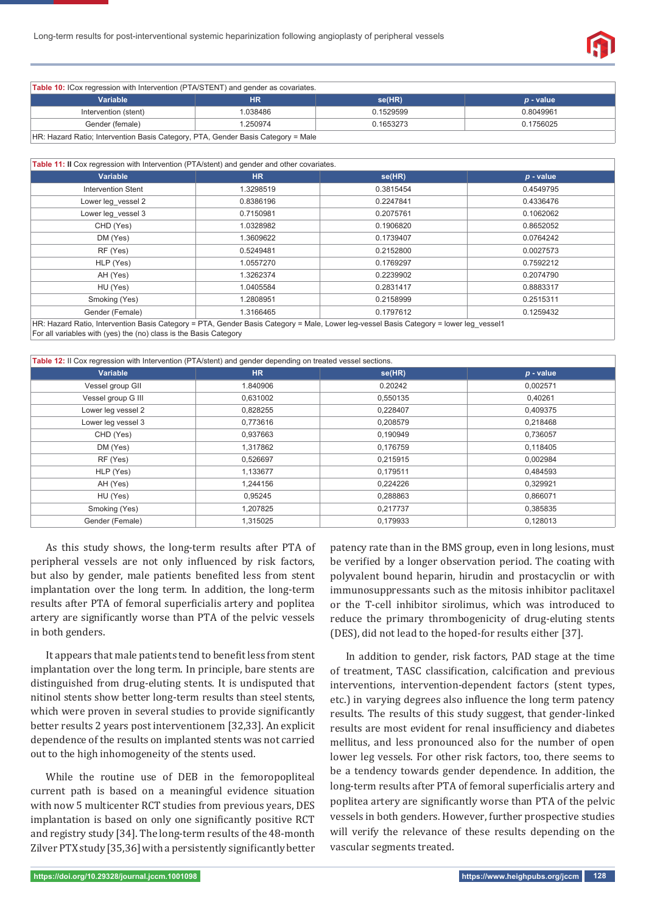

| <b>Table 10:</b> ICox regression with Intervention (PTA/STENT) and gender as covariates. |          |           |           |  |  |  |
|------------------------------------------------------------------------------------------|----------|-----------|-----------|--|--|--|
| <b>HR</b><br><b>Variable</b><br>se(HR)<br>$p$ - value                                    |          |           |           |  |  |  |
| Intervention (stent)                                                                     | 1.038486 | 0.1529599 | 0.8049961 |  |  |  |
| 0.1653273<br>1.250974<br>0.1756025<br>Gender (female)                                    |          |           |           |  |  |  |
| $\mathbf{r}$                                                                             |          |           |           |  |  |  |

HR: Hazard Ratio; Intervention Basis Category, PTA, Gender Basis Category = Male

| Table 11: II Cox regression with Intervention (PTA/stent) and gender and other covariates.                                             |           |           |             |  |  |
|----------------------------------------------------------------------------------------------------------------------------------------|-----------|-----------|-------------|--|--|
| Variable                                                                                                                               | HR.       | se(HR)    | $p$ - value |  |  |
| <b>Intervention Stent</b>                                                                                                              | 1.3298519 | 0.3815454 | 0.4549795   |  |  |
| Lower leg vessel 2                                                                                                                     | 0.8386196 | 0.2247841 | 0.4336476   |  |  |
| Lower leg vessel 3                                                                                                                     | 0.7150981 | 0.2075761 | 0.1062062   |  |  |
| CHD (Yes)                                                                                                                              | 1.0328982 | 0.1906820 | 0.8652052   |  |  |
| DM (Yes)                                                                                                                               | 1.3609622 | 0.1739407 | 0.0764242   |  |  |
| RF (Yes)                                                                                                                               | 0.5249481 | 0.2152800 | 0.0027573   |  |  |
| HLP (Yes)                                                                                                                              | 1.0557270 | 0.1769297 | 0.7592212   |  |  |
| AH (Yes)                                                                                                                               | 1.3262374 | 0.2239902 | 0.2074790   |  |  |
| HU (Yes)                                                                                                                               | 1.0405584 | 0.2831417 | 0.8883317   |  |  |
| Smoking (Yes)                                                                                                                          | 1.2808951 | 0.2158999 | 0.2515311   |  |  |
| Gender (Female)                                                                                                                        | 1.3166465 | 0.1797612 | 0.1259432   |  |  |
| HR: Hazard Ratio, Intervention Basis Category = PTA, Gender Basis Category = Male, Lower leg-vessel Basis Category = lower leg vessel1 |           |           |             |  |  |

For all variables with (yes) the (no) class is the Basis Category

| Table 12: II Cox regression with Intervention (PTA/stent) and gender depending on treated vessel sections. |           |          |             |
|------------------------------------------------------------------------------------------------------------|-----------|----------|-------------|
| Variable                                                                                                   | <b>HR</b> | se(HR)   | $p$ - value |
| Vessel group GII                                                                                           | 1.840906  | 0.20242  | 0,002571    |
| Vessel group G III                                                                                         | 0,631002  | 0,550135 | 0,40261     |
| Lower leg vessel 2                                                                                         | 0,828255  | 0,228407 | 0,409375    |
| Lower leg vessel 3                                                                                         | 0,773616  | 0,208579 | 0.218468    |
| CHD (Yes)                                                                                                  | 0,937663  | 0,190949 | 0,736057    |
| DM (Yes)                                                                                                   | 1,317862  | 0,176759 | 0,118405    |
| RF (Yes)                                                                                                   | 0,526697  | 0,215915 | 0,002984    |
| HLP (Yes)                                                                                                  | 1,133677  | 0,179511 | 0,484593    |
| AH (Yes)                                                                                                   | 1.244156  | 0,224226 | 0,329921    |
| HU (Yes)                                                                                                   | 0,95245   | 0,288863 | 0,866071    |
| Smoking (Yes)                                                                                              | 1,207825  | 0,217737 | 0,385835    |
| Gender (Female)                                                                                            | 1,315025  | 0,179933 | 0,128013    |

As this study shows, the long-term results after PTA of peripheral vessels are not only influenced by risk factors, but also by gender, male patients benefited less from stent implantation over the long term. In addition, the long-term results after PTA of femoral superficialis artery and poplitea artery are significantly worse than PTA of the pelvic vessels in both genders.

It appears that male patients tend to benefit less from stent implantation over the long term. In principle, bare stents are distinguished from drug-eluting stents. It is undisputed that nitinol stents show better long-term results than steel stents, which were proven in several studies to provide significantly better results 2 years post interventionem [32,33]. An explicit dependence of the results on implanted stents was not carried out to the high inhomogeneity of the stents used.

While the routine use of DEB in the femoropopliteal current path is based on a meaningful evidence situation with now 5 multicenter RCT studies from previous years, DES implantation is based on only one significantly positive RCT and registry study [34]. The long-term results of the 48-month Zilver PTX study [35,36] with a persistently significantly better

patency rate than in the BMS group, even in long lesions, must be verified by a longer observation period. The coating with polyvalent bound heparin, hirudin and prostacyclin or with immunosuppressants such as the mitosis inhibitor paclitaxel or the T-cell inhibitor sirolimus, which was introduced to reduce the primary thrombogenicity of drug-eluting stents (DES), did not lead to the hoped-for results either [37].

In addition to gender, risk factors, PAD stage at the time of treatment, TASC classification, calcification and previous interventions, intervention-dependent factors (stent types, etc.) in varying degrees also influence the long term patency results. The results of this study suggest, that gender-linked results are most evident for renal insufficiency and diabetes mellitus, and less pronounced also for the number of open lower leg vessels. For other risk factors, too, there seems to be a tendency towards gender dependence. In addition, the long-term results after PTA of femoral superficialis artery and poplitea artery are significantly worse than PTA of the pelvic vessels in both genders. However, further prospective studies will verify the relevance of these results depending on the vascular segments treated.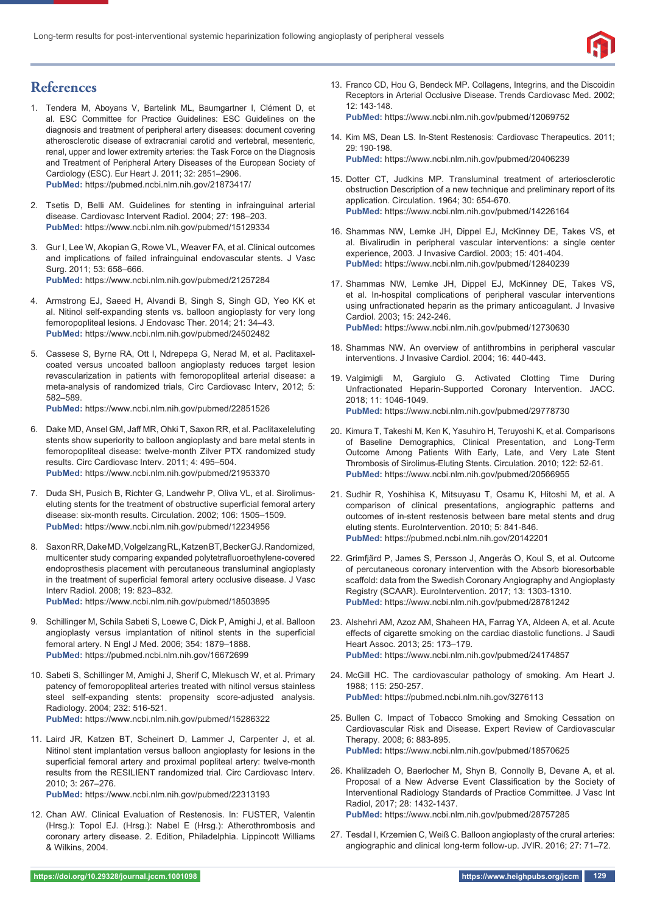

## **References**

- 1. Tendera M, Aboyans V, Bartelink ML, Baumgartner I, Clément D, et al. ESC Committee for Practice Guidelines: ESC Guidelines on the diagnosis and treatment of peripheral artery diseases: document covering atherosclerotic disease of extracranial carotid and vertebral, mesenteric, renal, upper and lower extremity arteries: the Task Force on the Diagnosis and Treatment of Peripheral Artery Diseases of the European Society of Cardiology (ESC). Eur Heart J. 2011; 32: 2851–2906. **PubMed:** https://pubmed.ncbi.nlm.nih.gov/21873417/
- 2. Tsetis D, Belli AM. Guidelines for stenting in infrainguinal arterial disease. Cardiovasc Intervent Radiol. 2004; 27: 198–203. **PubMed:** https://www.ncbi.nlm.nih.gov/pubmed/15129334
- 3. Gur I, Lee W, Akopian G, Rowe VL, Weaver FA, et al. Clinical outcomes and implications of failed infrainguinal endovascular stents. J Vasc Surg. 2011; 53: 658–666. **PubMed:** https://www.ncbi.nlm.nih.gov/pubmed/21257284
- 4. Armstrong EJ, Saeed H, Alvandi B, Singh S, Singh GD, Yeo KK et al. Nitinol self-expanding stents vs. balloon angioplasty for very long femoropopliteal lesions. J Endovasc Ther. 2014; 21: 34–43. **PubMed:** https://www.ncbi.nlm.nih.gov/pubmed/24502482
- 5. Cassese S, Byrne RA, Ott I, Ndrepepa G, Nerad M, et al. Paclitaxelcoated versus uncoated balloon angioplasty reduces target lesion revascularization in patients with femoropopliteal arterial disease: a meta-analysis of randomized trials, Circ Cardiovasc Interv, 2012; 5: 582–589.

**PubMed:** https://www.ncbi.nlm.nih.gov/pubmed/22851526

- 6. Dake MD, Ansel GM, Jaff MR, Ohki T, Saxon RR, et al. Paclitaxeleluting stents show superiority to balloon angioplasty and bare metal stents in femoropopliteal disease: twelve-month Zilver PTX randomized study results. Circ Cardiovasc Interv. 2011; 4: 495–504. **PubMed:** https://www.ncbi.nlm.nih.gov/pubmed/21953370
- 7. Duda SH, Pusich B, Richter G, Landwehr P, Oliva VL, et al. Sirolimuseluting stents for the treatment of obstructive superficial femoral artery disease: six-month results. Circulation. 2002; 106: 1505–1509. **PubMed:** https://www.ncbi.nlm.nih.gov/pubmed/12234956
- 8. Saxon RR, Dake MD, Volgelzang RL, Katzen BT, Becker GJ. Randomized, multicenter study comparing expanded polytetrafluoroethylene-covered endoprosthesis placement with percutaneous transluminal angioplasty in the treatment of superficial femoral artery occlusive disease. J Vasc Interv Radiol. 2008; 19: 823–832. **PubMed:** https://www.ncbi.nlm.nih.gov/pubmed/18503895
- 9. Schillinger M, Schila Sabeti S, Loewe C, Dick P, Amighi J, et al. Balloon angioplasty versus implantation of nitinol stents in the superficial femoral artery. N Engl J Med. 2006; 354: 1879–1888. **PubMed:** https://pubmed.ncbi.nlm.nih.gov/16672699
- 10. Sabeti S, Schillinger M, Amighi J, Sherif C, Mlekusch W, et al. Primary patency of femoropopliteal arteries treated with nitinol versus stainless steel self-expanding stents: propensity score-adjusted analysis. Radiology. 2004; 232: 516-521. **PubMed:** https://www.ncbi.nlm.nih.gov/pubmed/15286322
- 11. Laird JR, Katzen BT, Scheinert D, Lammer J, Carpenter J, et al. Nitinol stent implantation versus balloon angioplasty for lesions in the superficial femoral artery and proximal popliteal artery: twelve-month results from the RESILIENT randomized trial. Circ Cardiovasc Interv. 2010; 3: 267–276.

**PubMed:** https://www.ncbi.nlm.nih.gov/pubmed/22313193

12. Chan AW. Clinical Evaluation of Restenosis. In: FUSTER, Valentin (Hrsg.): Topol EJ. (Hrsg.): Nabel E (Hrsg.): Atherothrombosis and coronary artery disease. 2. Edition, Philadelphia. Lippincott Williams & Wilkins, 2004.

13. Franco CD, Hou G, Bendeck MP. Collagens, Integrins, and the Discoidin Receptors in Arterial Occlusive Disease. Trends Cardiovasc Med. 2002; 12: 143-148.

**PubMed:** https://www.ncbi.nlm.nih.gov/pubmed/12069752

- 14. Kim MS, Dean LS. In-Stent Restenosis: Cardiovasc Therapeutics. 2011; 29: 190-198. **PubMed:** https://www.ncbi.nlm.nih.gov/pubmed/20406239
- 15. Dotter CT, Judkins MP. Transluminal treatment of arteriosclerotic obstruction Description of a new technique and preliminary report of its application. Circulation. 1964; 30: 654-670. **PubMed:** https://www.ncbi.nlm.nih.gov/pubmed/14226164
- 16. Shammas NW, Lemke JH, Dippel EJ, McKinney DE, Takes VS, et al. Bivalirudin in peripheral vascular interventions: a single center experience, 2003. J Invasive Cardiol. 2003; 15: 401-404. **PubMed:** https://www.ncbi.nlm.nih.gov/pubmed/12840239
- 17. Shammas NW, Lemke JH, Dippel EJ, McKinney DE, Takes VS, et al. In-hospital complications of peripheral vascular interventions using unfractionated heparin as the primary anticoagulant. J Invasive Cardiol. 2003; 15: 242-246. **PubMed:** https://www.ncbi.nlm.nih.gov/pubmed/12730630
- 18. Shammas NW. An overview of antithrombins in peripheral vascular interventions. J Invasive Cardiol. 2004; 16: 440-443.
- 19. Valgimigli M, Gargiulo G. Activated Clotting Time During Unfractionated Heparin-Supported Coronary Intervention. JACC. 2018; 11: 1046-1049. **PubMed:** https://www.ncbi.nlm.nih.gov/pubmed/29778730
- 20. Kimura T, Takeshi M, Ken K, Yasuhiro H, Teruyoshi K, et al. Comparisons of Baseline Demographics, Clinical Presentation, and Long-Term Outcome Among Patients With Early, Late, and Very Late Stent Thrombosis of Sirolimus-Eluting Stents. Circulation. 2010; 122: 52-61. **PubMed:** https://www.ncbi.nlm.nih.gov/pubmed/20566955
- 21. Sudhir R, Yoshihisa K, Mitsuyasu T, Osamu K, Hitoshi M, et al. A comparison of clinical presentations, angiographic patterns and outcomes of in-stent restenosis between bare metal stents and drug eluting stents. EuroIntervention. 2010; 5: 841-846. **PubMed:** https://pubmed.ncbi.nlm.nih.gov/20142201
- 22. Grimfjärd P, James S, Persson J, Angerås O, Koul S, et al. Outcome of percutaneous coronary intervention with the Absorb bioresorbable scaffold: data from the Swedish Coronary Angiography and Angioplasty Registry (SCAAR). EuroIntervention. 2017; 13: 1303-1310. **PubMed:** https://www.ncbi.nlm.nih.gov/pubmed/28781242
- 23. Alshehri AM, Azoz AM, Shaheen HA, Farrag YA, Aldeen A, et al. Acute effects of cigarette smoking on the cardiac diastolic functions. J Saudi Heart Assoc. 2013; 25: 173–179. **PubMed:** https://www.ncbi.nlm.nih.gov/pubmed/24174857
- 24. McGill HC. The cardiovascular pathology of smoking. Am Heart J. 1988; 115: 250-257. **PubMed:** https://pubmed.ncbi.nlm.nih.gov/3276113
- 25. Bullen C. Impact of Tobacco Smoking and Smoking Cessation on Cardiovascular Risk and Disease. Expert Review of Cardiovascular Therapy. 2008; 6: 883-895. **PubMed:** https://www.ncbi.nlm.nih.gov/pubmed/18570625
- 26. Khalilzadeh O, Baerlocher M, Shyn B, Connolly B, Devane A, et al. Proposal of a New Adverse Event Classification by the Society of Interventional Radiology Standards of Practice Committee. J Vasc Int Radiol, 2017; 28: 1432-1437. **PubMed:** https://www.ncbi.nlm.nih.gov/pubmed/28757285
- 27. Tesdal I, Krzemien C, Weiß C. Balloon angioplasty of the crural arteries: angiographic and clinical long-term follow-up. JVIR. 2016; 27: 71–72.